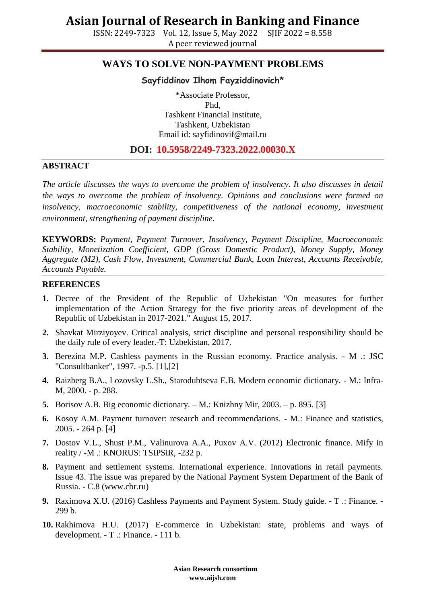## **Asian Journal of Research in Banking and Finance**

ISSN: 2249-7323 Vol. 12, Issue 5, May 2022 SJIF 2022 = 8.558 A peer reviewed journal

### **WAYS TO SOLVE NON-PAYMENT PROBLEMS**

### **Sayfiddinov Ilhom Fayziddinovich\***

\*Associate Professor, Phd, Tashkent Financial Institute, Tashkent, Uzbekistan Email id: [sayfidinovif@mail.ru](mailto:sayfidinovif@mail.ru)

### **DOI: 10.5958/2249-7323.2022.00030.X**

#### **ABSTRACT**

*The article discusses the ways to overcome the problem of insolvency. It also discusses in detail the ways to overcome the problem of insolvency. Opinions and conclusions were formed on*  insolvency, macroeconomic stability, competitiveness of the national economy, investment *environment, strengthening of payment discipline.*

**KEYWORDS:** *Payment, Payment Turnover, Insolvency, Payment Discipline, Macroeconomic Stability, Monetization Coefficient, GDP (Gross Domestic Product), Money Supply, Money Aggregate (M2), Cash Flow, Investment, Commercial Bank, Loan Interest, Accounts Receivable, Accounts Payable.*

#### **REFERENCES**

- **1.** Decree of the President of the Republic of Uzbekistan "On measures for further implementation of the Action Strategy for the five priority areas of development of the Republic of Uzbekistan in 2017-2021." August 15, 2017.
- **2.** Shavkat Mirziyoyev. Critical analysis, strict discipline and personal responsibility should be the daily rule of every leader.-T: Uzbekistan, 2017.
- **3.** Berezina M.P. Cashless payments in the Russian economy. Practice analysis. M .: JSC "Consultbanker", 1997. -p.5. [1],[2]
- **4.** Raizberg B.A., Lozovsky L.Sh., Starodubtseva E.B. Modern economic dictionary. M.: Infra-M, 2000. - p. 288.
- **5.** Borisov A.B. Big economic dictionary. M.: Knizhny Mir, 2003. p. 895. [3]
- **6.** Kosoy A.M. Payment turnover: research and recommendations. M.: Finance and statistics, 2005. - 264 p. [4]
- **7.** Dostov V.L., Shust P.M., Valinurova A.A., Puxov A.V. (2012) Electronic finance. Mify in reality / -M .: KNORUS: TSIPSiR, -232 p.
- **8.** Payment and settlement systems. International experience. Innovations in retail payments. Issue 43. The issue was prepared by the National Payment System Department of the Bank of Russia. - C.8 [\(www.cbr.ru\)](http://www.cbr.ru/)
- **9.** Raximova X.U. (2016) Cashless Payments and Payment System. Study guide. T .: Finance. 299 b.
- **10.** Rakhimova H.U. (2017) E-commerce in Uzbekistan: state, problems and ways of development. - T .: Finance. - 111 b.